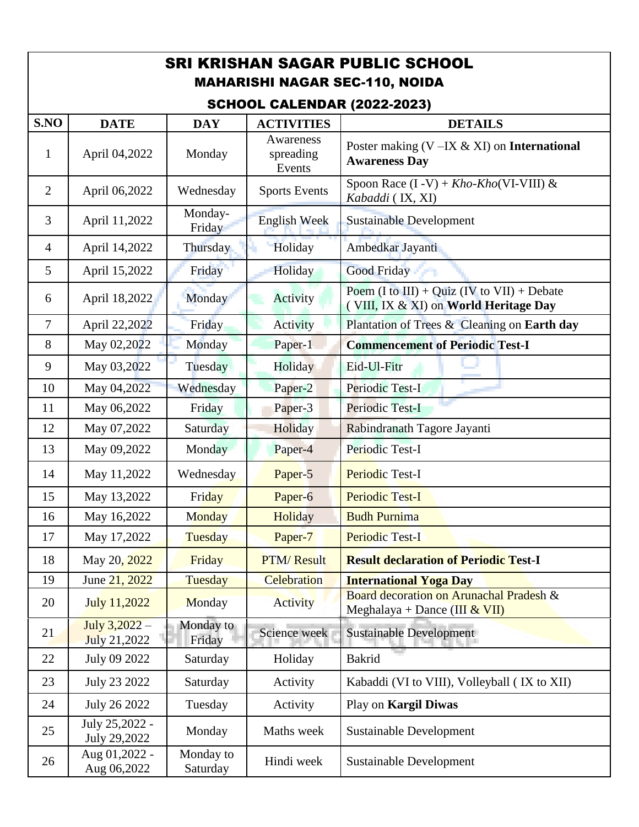| <b>SRI KRISHAN SAGAR PUBLIC SCHOOL</b><br><b>MAHARISHI NAGAR SEC-110, NOIDA</b>                                |                                |                       |                                  |                                                                                      |  |  |  |  |
|----------------------------------------------------------------------------------------------------------------|--------------------------------|-----------------------|----------------------------------|--------------------------------------------------------------------------------------|--|--|--|--|
| <b>SCHOOL CALENDAR (2022-2023)</b><br>S.NO<br><b>DATE</b><br><b>DAY</b><br><b>ACTIVITIES</b><br><b>DETAILS</b> |                                |                       |                                  |                                                                                      |  |  |  |  |
| $\mathbf{1}$                                                                                                   | April 04,2022                  | Monday                | Awareness<br>spreading<br>Events | Poster making $(V – IX & XI)$ on International<br><b>Awareness Day</b>               |  |  |  |  |
| $\overline{2}$                                                                                                 | April 06,2022                  | Wednesday             | <b>Sports Events</b>             | Spoon Race $(I - V)$ + Kho-Kho(VI-VIII) &<br>Kabaddi (IX, XI)                        |  |  |  |  |
| 3                                                                                                              | April 11,2022                  | Monday-<br>Friday     | <b>English Week</b>              | <b>Sustainable Development</b>                                                       |  |  |  |  |
| $\overline{4}$                                                                                                 | April 14,2022                  | Thursday              | Holiday                          | Ambedkar Jayanti                                                                     |  |  |  |  |
| 5                                                                                                              | April 15,2022                  | Friday                | Holiday                          | <b>Good Friday</b>                                                                   |  |  |  |  |
| 6                                                                                                              | April 18,2022                  | Monday                | Activity                         | Poem (I to III) + Quiz (IV to VII) + Debate<br>(VIII, IX & XI) on World Heritage Day |  |  |  |  |
| $\tau$                                                                                                         | April 22,2022                  | Friday                | Activity                         | Plantation of Trees & Cleaning on Earth day                                          |  |  |  |  |
| 8                                                                                                              | May 02,2022                    | Monday                | Paper-1                          | <b>Commencement of Periodic Test-I</b>                                               |  |  |  |  |
| 9                                                                                                              | May 03,2022                    | Tuesday               | Holiday                          | Eid-Ul-Fitr                                                                          |  |  |  |  |
| 10                                                                                                             | May 04,2022                    | Wednesday             | Paper-2                          | Periodic Test-I                                                                      |  |  |  |  |
| 11                                                                                                             | May 06,2022                    | Friday                | Paper-3                          | Periodic Test-I                                                                      |  |  |  |  |
| 12                                                                                                             | May 07,2022                    | Saturday              | Holiday                          | Rabindranath Tagore Jayanti                                                          |  |  |  |  |
| 13                                                                                                             | May 09,2022                    | Monday                | Paper-4                          | Periodic Test-I                                                                      |  |  |  |  |
| 14                                                                                                             | May 11,2022                    | Wednesday             | Paper-5                          | <b>Periodic Test-I</b>                                                               |  |  |  |  |
| 15                                                                                                             | May 13,2022                    | Friday                | Paper-6                          | <b>Periodic Test-I</b>                                                               |  |  |  |  |
| 16                                                                                                             | May 16,2022                    | <b>Monday</b>         | Holiday                          | <b>Budh Purnima</b>                                                                  |  |  |  |  |
| 17                                                                                                             | May 17,2022                    | Tuesday               | Paper-7                          | <b>Periodic Test-I</b>                                                               |  |  |  |  |
| 18                                                                                                             | May 20, 2022                   | Friday                | <b>PTM/Result</b>                | <b>Result declaration of Periodic Test-I</b>                                         |  |  |  |  |
| 19                                                                                                             | June 21, 2022                  | Tuesday               | Celebration                      | <b>International Yoga Day</b>                                                        |  |  |  |  |
| 20                                                                                                             | July 11,2022                   | Monday                | Activity                         | Board decoration on Arunachal Pradesh &<br>Meghalaya + Dance (III $&$ VII)           |  |  |  |  |
| 21                                                                                                             | July 3,2022 -<br>July 21,2022  | Monday to<br>Friday   | Science week                     | <b>Sustainable Development</b>                                                       |  |  |  |  |
| 22                                                                                                             | July 09 2022                   | Saturday              | Holiday                          | <b>Bakrid</b>                                                                        |  |  |  |  |
| 23                                                                                                             | July 23 2022                   | Saturday              | Activity                         | Kabaddi (VI to VIII), Volleyball (IX to XII)                                         |  |  |  |  |
| 24                                                                                                             | July 26 2022                   | Tuesday               | Activity                         | Play on Kargil Diwas                                                                 |  |  |  |  |
| 25                                                                                                             | July 25,2022 -<br>July 29,2022 | Monday                | Maths week                       | <b>Sustainable Development</b>                                                       |  |  |  |  |
| 26                                                                                                             | Aug 01,2022 -<br>Aug 06,2022   | Monday to<br>Saturday | Hindi week                       | <b>Sustainable Development</b>                                                       |  |  |  |  |